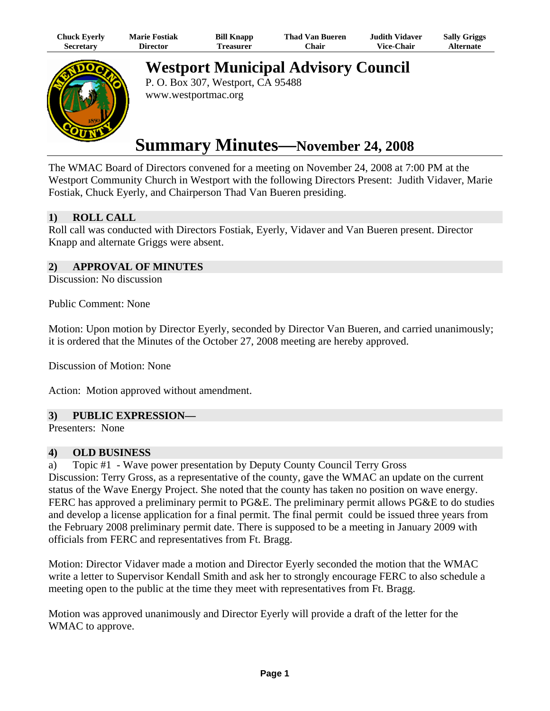| Chuck Eyerly | <b>Marie Fostiak</b> | <b>Bill Knapp</b> | <b>Thad Van Bueren</b> | <b>Judith Vidaver</b> | <b>Sally Griggs</b> |
|--------------|----------------------|-------------------|------------------------|-----------------------|---------------------|
| Secretarv    | Director             | <b>Treasurer</b>  | <b>Chair</b>           | <b>Vice-Chair</b>     | Alternate           |



**Westport Municipal Advisory Council** 

P. O. Box 307, Westport, CA 95488 www.westportmac.org

# **Summary Minutes—November 24, 2008**

The WMAC Board of Directors convened for a meeting on November 24, 2008 at 7:00 PM at the Westport Community Church in Westport with the following Directors Present: Judith Vidaver, Marie Fostiak, Chuck Eyerly, and Chairperson Thad Van Bueren presiding.

## **1) ROLL CALL**

Roll call was conducted with Directors Fostiak, Eyerly, Vidaver and Van Bueren present. Director Knapp and alternate Griggs were absent.

## **2) APPROVAL OF MINUTES**

Discussion: No discussion

Public Comment: None

Motion: Upon motion by Director Eyerly, seconded by Director Van Bueren, and carried unanimously; it is ordered that the Minutes of the October 27, 2008 meeting are hereby approved.

Discussion of Motion: None

Action: Motion approved without amendment.

## **3) PUBLIC EXPRESSION—**

Presenters: None

#### **4) OLD BUSINESS**

a) Topic #1 - Wave power presentation by Deputy County Council Terry Gross Discussion: Terry Gross, as a representative of the county, gave the WMAC an update on the current status of the Wave Energy Project. She noted that the county has taken no position on wave energy. FERC has approved a preliminary permit to PG&E. The preliminary permit allows PG&E to do studies and develop a license application for a final permit. The final permit could be issued three years from the February 2008 preliminary permit date. There is supposed to be a meeting in January 2009 with

officials from FERC and representatives from Ft. Bragg.

Motion: Director Vidaver made a motion and Director Eyerly seconded the motion that the WMAC write a letter to Supervisor Kendall Smith and ask her to strongly encourage FERC to also schedule a meeting open to the public at the time they meet with representatives from Ft. Bragg.

Motion was approved unanimously and Director Eyerly will provide a draft of the letter for the WMAC to approve.